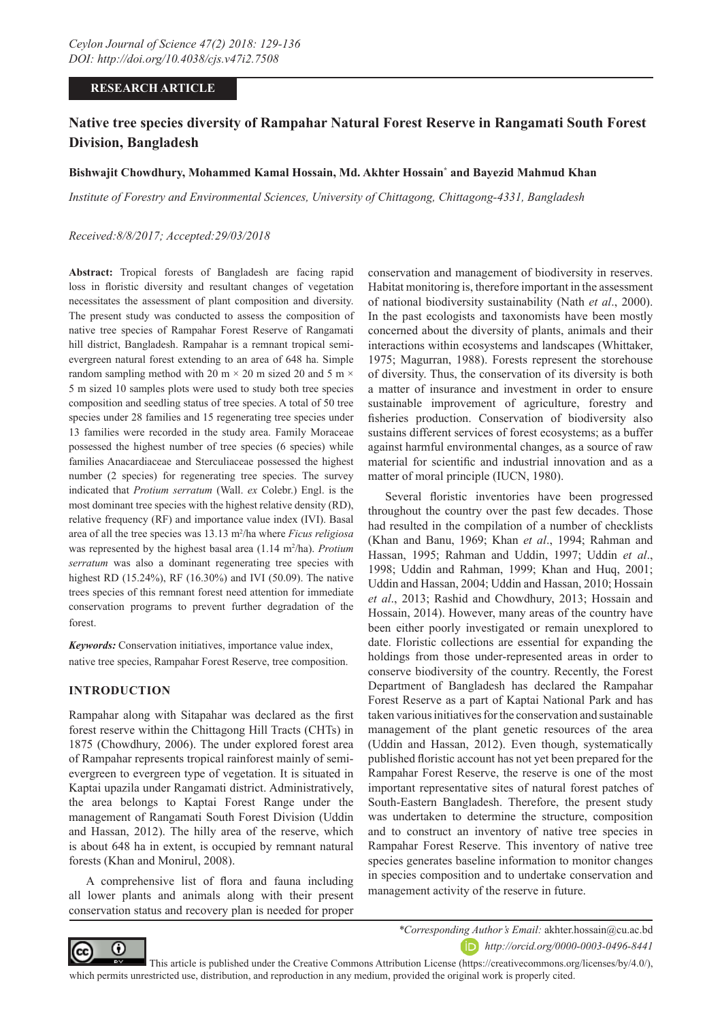#### **RESEARCH ARTICLE**

## **Native tree species diversity of Rampahar Natural Forest Reserve in Rangamati South Forest Division, Bangladesh**

#### **Bishwajit Chowdhury, Mohammed Kamal Hossain, Md. Akhter Hossain\* and Bayezid Mahmud Khan**

*Institute of Forestry and Environmental Sciences, University of Chittagong, Chittagong-4331, Bangladesh*

#### *Received:8/8/2017; Accepted:29/03/2018*

**Abstract:** Tropical forests of Bangladesh are facing rapid loss in floristic diversity and resultant changes of vegetation necessitates the assessment of plant composition and diversity. The present study was conducted to assess the composition of native tree species of Rampahar Forest Reserve of Rangamati hill district, Bangladesh. Rampahar is a remnant tropical semievergreen natural forest extending to an area of 648 ha. Simple random sampling method with 20 m  $\times$  20 m sized 20 and 5 m  $\times$ 5 m sized 10 samples plots were used to study both tree species composition and seedling status of tree species. A total of 50 tree species under 28 families and 15 regenerating tree species under 13 families were recorded in the study area. Family Moraceae possessed the highest number of tree species (6 species) while families Anacardiaceae and Sterculiaceae possessed the highest number (2 species) for regenerating tree species. The survey indicated that *Protium serratum* (Wall. *ex* Colebr.) Engl. is the most dominant tree species with the highest relative density (RD), relative frequency (RF) and importance value index (IVI). Basal area of all the tree species was 13.13 m2 /ha where *Ficus religiosa* was represented by the highest basal area  $(1.14 \text{ m}^2/\text{ha})$ . *Protium serratum* was also a dominant regenerating tree species with highest RD (15.24%), RF (16.30%) and IVI (50.09). The native trees species of this remnant forest need attention for immediate conservation programs to prevent further degradation of the forest.

*Keywords:* Conservation initiatives, importance value index, native tree species, Rampahar Forest Reserve, tree composition.

#### **INTRODUCTION**

Rampahar along with Sitapahar was declared as the first forest reserve within the Chittagong Hill Tracts (CHTs) in 1875 (Chowdhury, 2006). The under explored forest area of Rampahar represents tropical rainforest mainly of semievergreen to evergreen type of vegetation. It is situated in Kaptai upazila under Rangamati district. Administratively, the area belongs to Kaptai Forest Range under the management of Rangamati South Forest Division (Uddin and Hassan, 2012). The hilly area of the reserve, which is about 648 ha in extent, is occupied by remnant natural forests (Khan and Monirul, 2008).

A comprehensive list of flora and fauna including all lower plants and animals along with their present conservation status and recovery plan is needed for proper

conservation and management of biodiversity in reserves. Habitat monitoring is, therefore important in the assessment of national biodiversity sustainability (Nath *et al*., 2000). In the past ecologists and taxonomists have been mostly concerned about the diversity of plants, animals and their interactions within ecosystems and landscapes (Whittaker, 1975; Magurran, 1988). Forests represent the storehouse of diversity. Thus, the conservation of its diversity is both a matter of insurance and investment in order to ensure sustainable improvement of agriculture, forestry and fisheries production. Conservation of biodiversity also sustains different services of forest ecosystems; as a buffer against harmful environmental changes, as a source of raw material for scientific and industrial innovation and as a matter of moral principle (IUCN, 1980).

Several floristic inventories have been progressed throughout the country over the past few decades. Those had resulted in the compilation of a number of checklists (Khan and Banu, 1969; Khan *et al*., 1994; Rahman and Hassan, 1995; Rahman and Uddin, 1997; Uddin *et al*., 1998; Uddin and Rahman, 1999; Khan and Huq, 2001; Uddin and Hassan, 2004; Uddin and Hassan, 2010; Hossain *et al*., 2013; Rashid and Chowdhury, 2013; Hossain and Hossain, 2014). However, many areas of the country have been either poorly investigated or remain unexplored to date. Floristic collections are essential for expanding the holdings from those under-represented areas in order to conserve biodiversity of the country. Recently, the Forest Department of Bangladesh has declared the Rampahar Forest Reserve as a part of Kaptai National Park and has taken various initiatives for the conservation and sustainable management of the plant genetic resources of the area (Uddin and Hassan, 2012). Even though, systematically published floristic account has not yet been prepared for the Rampahar Forest Reserve, the reserve is one of the most important representative sites of natural forest patches of South-Eastern Bangladesh. Therefore, the present study was undertaken to determine the structure, composition and to construct an inventory of native tree species in Rampahar Forest Reserve. This inventory of native tree species generates baseline information to monitor changes in species composition and to undertake conservation and management activity of the reserve in future.



*\*Corresponding Author's Email:* akhter.hossain@cu.ac.bd

*http://orcid.org/0000-0003-0496-8441*

 This article is published under the Creative Commons Attribution License (https://creativecommons.org/licenses/by/4.0/), which permits unrestricted use, distribution, and reproduction in any medium, provided the original work is properly cited.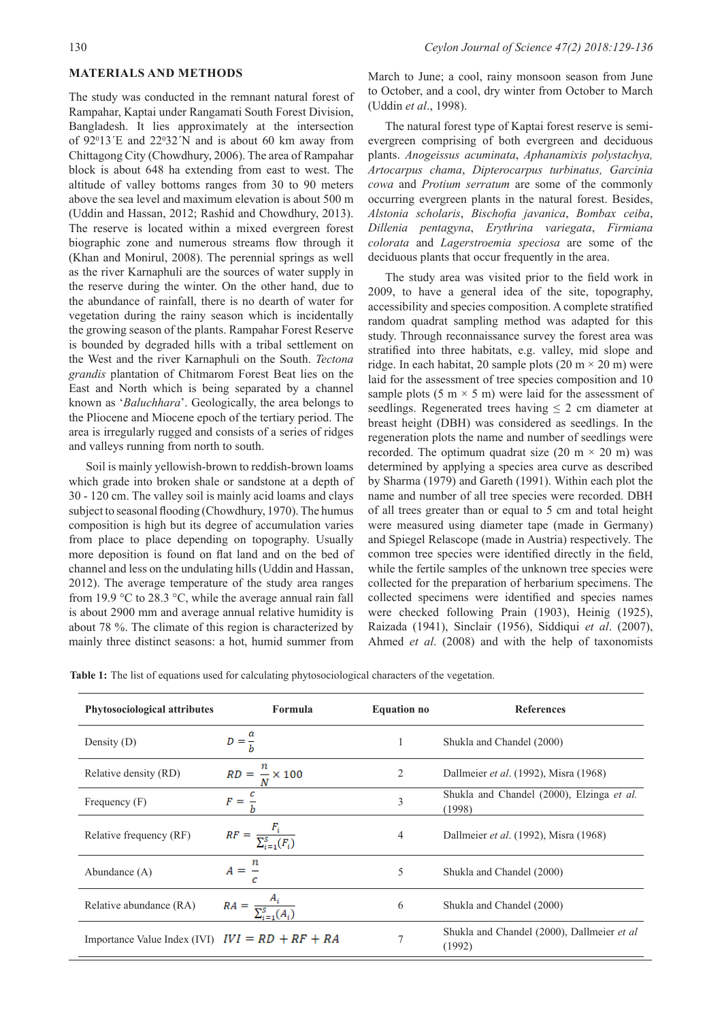#### **MATERIALS AND METHODS**

The study was conducted in the remnant natural forest of Rampahar, Kaptai under Rangamati South Forest Division, Bangladesh. It lies approximately at the intersection of  $92^013$ <sup>'</sup>E and  $22^032$ <sup>'</sup>N and is about 60 km away from Chittagong City (Chowdhury, 2006). The area of Rampahar block is about 648 ha extending from east to west. The altitude of valley bottoms ranges from 30 to 90 meters above the sea level and maximum elevation is about 500 m (Uddin and Hassan, 2012; Rashid and Chowdhury, 2013). The reserve is located within a mixed evergreen forest biographic zone and numerous streams flow through it (Khan and Monirul, 2008). The perennial springs as well as the river Karnaphuli are the sources of water supply in the reserve during the winter. On the other hand, due to the abundance of rainfall, there is no dearth of water for vegetation during the rainy season which is incidentally the growing season of the plants. Rampahar Forest Reserve is bounded by degraded hills with a tribal settlement on the West and the river Karnaphuli on the South. *Tectona grandis* plantation of Chitmarom Forest Beat lies on the East and North which is being separated by a channel known as '*Baluchhara*'. Geologically, the area belongs to the Pliocene and Miocene epoch of the tertiary period. The area is irregularly rugged and consists of a series of ridges and valleys running from north to south.

Soil is mainly yellowish-brown to reddish-brown loams which grade into broken shale or sandstone at a depth of 30 - 120 cm. The valley soil is mainly acid loams and clays subject to seasonal flooding (Chowdhury, 1970). The humus composition is high but its degree of accumulation varies from place to place depending on topography. Usually more deposition is found on flat land and on the bed of channel and less on the undulating hills (Uddin and Hassan, 2012). The average temperature of the study area ranges from 19.9 °C to 28.3 °C, while the average annual rain fall is about 2900 mm and average annual relative humidity is about 78 %. The climate of this region is characterized by mainly three distinct seasons: a hot, humid summer from

March to June; a cool, rainy monsoon season from June to October, and a cool, dry winter from October to March (Uddin *et al*., 1998).

The natural forest type of Kaptai forest reserve is semievergreen comprising of both evergreen and deciduous plants. *Anogeissus acuminata*, *Aphanamixis polystachya, Artocarpus chama*, *Dipterocarpus turbinatus, Garcinia cowa* and *Protium serratum* are some of the commonly occurring evergreen plants in the natural forest. Besides, *Alstonia scholaris*, *Bischofia javanica*, *Bombax ceiba*, *Dillenia pentagyna*, *Erythrina variegata*, *Firmiana colorata* and *Lagerstroemia speciosa* are some of the deciduous plants that occur frequently in the area.

The study area was visited prior to the field work in 2009, to have a general idea of the site, topography, accessibility and species composition. A complete stratified random quadrat sampling method was adapted for this study. Through reconnaissance survey the forest area was stratified into three habitats, e.g. valley, mid slope and ridge. In each habitat, 20 sample plots  $(20 \text{ m} \times 20 \text{ m})$  were laid for the assessment of tree species composition and 10 sample plots  $(5 \text{ m} \times 5 \text{ m})$  were laid for the assessment of seedlings. Regenerated trees having  $\leq 2$  cm diameter at breast height (DBH) was considered as seedlings. In the regeneration plots the name and number of seedlings were recorded. The optimum quadrat size (20 m  $\times$  20 m) was determined by applying a species area curve as described by Sharma (1979) and Gareth (1991). Within each plot the name and number of all tree species were recorded. DBH of all trees greater than or equal to 5 cm and total height were measured using diameter tape (made in Germany) and Spiegel Relascope (made in Austria) respectively. The common tree species were identified directly in the field, while the fertile samples of the unknown tree species were collected for the preparation of herbarium specimens. The collected specimens were identified and species names were checked following Prain (1903), Heinig (1925), Raizada (1941), Sinclair (1956), Siddiqui *et al*. (2007), Ahmed *et al*. (2008) and with the help of taxonomists

**Table 1:** The list of equations used for calculating phytosociological characters of the vegetation.

| Phytosociological attributes                      | Formula                                | <b>Equation no</b> | <b>References</b>                                    |
|---------------------------------------------------|----------------------------------------|--------------------|------------------------------------------------------|
| Density $(D)$                                     | $D=\frac{a}{b}$                        | 1                  | Shukla and Chandel (2000)                            |
| Relative density (RD)                             | $RD = - \times 100$                    | $\overline{2}$     | Dallmeier et al. (1992), Misra (1968)                |
| Frequency $(F)$                                   | $F = -$                                | 3                  | Shukla and Chandel (2000), Elzinga et al.<br>(1998)  |
| Relative frequency (RF)                           | $RF = \frac{F_i}{\sum_{i=1}^{S}(F_i)}$ | $\overline{4}$     | Dallmeier et al. (1992), Misra (1968)                |
| Abundance $(A)$                                   | $A = \frac{1}{2}$                      | 5                  | Shukla and Chandel (2000)                            |
| Relative abundance (RA)                           | $RA = \frac{A_i}{\nabla^S - \ell A}$   | 6                  | Shukla and Chandel (2000)                            |
| Importance Value Index (IVI) $IVI = RD + RF + RA$ |                                        | 7                  | Shukla and Chandel (2000), Dallmeier et al<br>(1992) |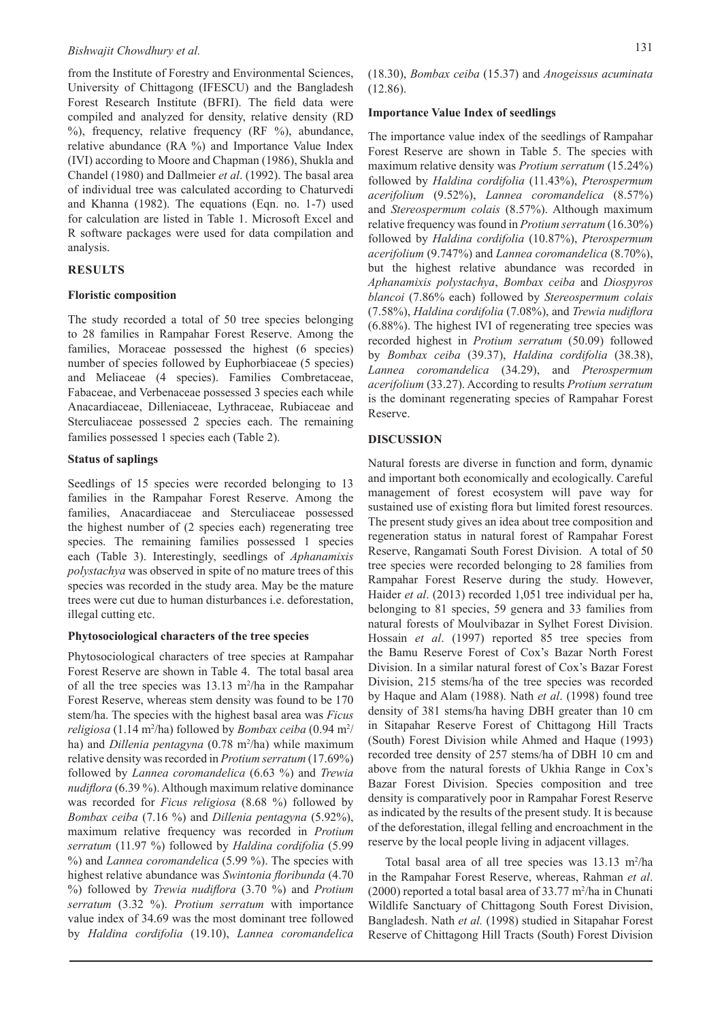### *Bishwajit Chowdhury et al.* 131

from the Institute of Forestry and Environmental Sciences, University of Chittagong (IFESCU) and the Bangladesh Forest Research Institute (BFRI). The field data were compiled and analyzed for density, relative density (RD  $%$ , frequency, relative frequency (RF  $%$ ), abundance, relative abundance (RA %) and Importance Value Index (IVI) according to Moore and Chapman (1986), Shukla and Chandel (1980) and Dallmeier *et al*. (1992). The basal area of individual tree was calculated according to Chaturvedi and Khanna (1982). The equations (Eqn. no. 1-7) used for calculation are listed in Table 1. Microsoft Excel and R software packages were used for data compilation and analysis.

#### **RESULTS**

#### **Floristic composition**

The study recorded a total of 50 tree species belonging to 28 families in Rampahar Forest Reserve. Among the families, Moraceae possessed the highest (6 species) number of species followed by Euphorbiaceae (5 species) and Meliaceae (4 species). Families Combretaceae, Fabaceae, and Verbenaceae possessed 3 species each while Anacardiaceae, Dilleniaceae, Lythraceae, Rubiaceae and Sterculiaceae possessed 2 species each. The remaining families possessed 1 species each (Table 2).

#### **Status of saplings**

Seedlings of 15 species were recorded belonging to 13 families in the Rampahar Forest Reserve. Among the families, Anacardiaceae and Sterculiaceae possessed the highest number of (2 species each) regenerating tree species. The remaining families possessed 1 species each (Table 3). Interestingly, seedlings of *Aphanamixis polystachya* was observed in spite of no mature trees of this species was recorded in the study area. May be the mature trees were cut due to human disturbances i.e. deforestation, illegal cutting etc.

#### **Phytosociological characters of the tree species**

Phytosociological characters of tree species at Rampahar Forest Reserve are shown in Table 4. The total basal area of all the tree species was  $13.13 \text{ m}^2/\text{ha}$  in the Rampahar Forest Reserve, whereas stem density was found to be 170 stem/ha. The species with the highest basal area was *Ficus*  religiosa (1.14 m<sup>2</sup>/ha) followed by *Bombax ceiba* (0.94 m<sup>2</sup>/ ha) and *Dillenia pentagyna* (0.78 m<sup>2</sup>/ha) while maximum relative density was recorded in *Protium serratum* (17.69%) followed by *Lannea coromandelica* (6.63 %) and *Trewia nudiflora* (6.39 %). Although maximum relative dominance was recorded for *Ficus religiosa* (8.68 %) followed by *Bombax ceiba* (7.16 %) and *Dillenia pentagyna* (5.92%), maximum relative frequency was recorded in *Protium serratum* (11.97 %) followed by *Haldina cordifolia* (5.99 %) and *Lannea coromandelica* (5.99 %). The species with highest relative abundance was *Swintonia floribunda* (4.70 %) followed by *Trewia nudiflora* (3.70 %) and *Protium serratum* (3.32 %). *Protium serratum* with importance value index of 34.69 was the most dominant tree followed by *Haldina cordifolia* (19.10), *Lannea coromandelica*

(18.30), *Bombax ceiba* (15.37) and *Anogeissus acuminata* (12.86).

#### **Importance Value Index of seedlings**

The importance value index of the seedlings of Rampahar Forest Reserve are shown in Table 5. The species with maximum relative density was *Protium serratum* (15.24%) followed by *Haldina cordifolia* (11.43%), *Pterospermum acerifolium* (9.52%), *Lannea coromandelica* (8.57%) and *Stereospermum colais* (8.57%). Although maximum relative frequency was found in *Protium serratum* (16.30%) followed by *Haldina cordifolia* (10.87%), *Pterospermum acerifolium* (9.747%) and *Lannea coromandelica* (8.70%), but the highest relative abundance was recorded in *Aphanamixis polystachya*, *Bombax ceiba* and *Diospyros blancoi* (7.86% each) followed by *Stereospermum colais* (7.58%), *Haldina cordifolia* (7.08%), and *Trewia nudiflora*  (6.88%). The highest IVI of regenerating tree species was recorded highest in *Protium serratum* (50.09) followed by *Bombax ceiba* (39.37), *Haldina cordifolia* (38.38), *Lannea coromandelica* (34.29), and *Pterospermum acerifolium* (33.27). According to results *Protium serratum* is the dominant regenerating species of Rampahar Forest Reserve.

#### **DISCUSSION**

Natural forests are diverse in function and form, dynamic and important both economically and ecologically. Careful management of forest ecosystem will pave way for sustained use of existing flora but limited forest resources. The present study gives an idea about tree composition and regeneration status in natural forest of Rampahar Forest Reserve, Rangamati South Forest Division. A total of 50 tree species were recorded belonging to 28 families from Rampahar Forest Reserve during the study. However, Haider *et al*. (2013) recorded 1,051 tree individual per ha, belonging to 81 species, 59 genera and 33 families from natural forests of Moulvibazar in Sylhet Forest Division. Hossain *et al*. (1997) reported 85 tree species from the Bamu Reserve Forest of Cox's Bazar North Forest Division. In a similar natural forest of Cox's Bazar Forest Division, 215 stems/ha of the tree species was recorded by Haque and Alam (1988). Nath *et al*. (1998) found tree density of 381 stems/ha having DBH greater than 10 cm in Sitapahar Reserve Forest of Chittagong Hill Tracts (South) Forest Division while Ahmed and Haque (1993) recorded tree density of 257 stems/ha of DBH 10 cm and above from the natural forests of Ukhia Range in Cox's Bazar Forest Division. Species composition and tree density is comparatively poor in Rampahar Forest Reserve as indicated by the results of the present study. It is because of the deforestation, illegal felling and encroachment in the reserve by the local people living in adjacent villages.

Total basal area of all tree species was  $13.13 \text{ m}^2/\text{ha}$ in the Rampahar Forest Reserve, whereas, Rahman *et al*.  $(2000)$  reported a total basal area of 33.77 m<sup>2</sup>/ha in Chunati Wildlife Sanctuary of Chittagong South Forest Division, Bangladesh. Nath *et al.* (1998) studied in Sitapahar Forest Reserve of Chittagong Hill Tracts (South) Forest Division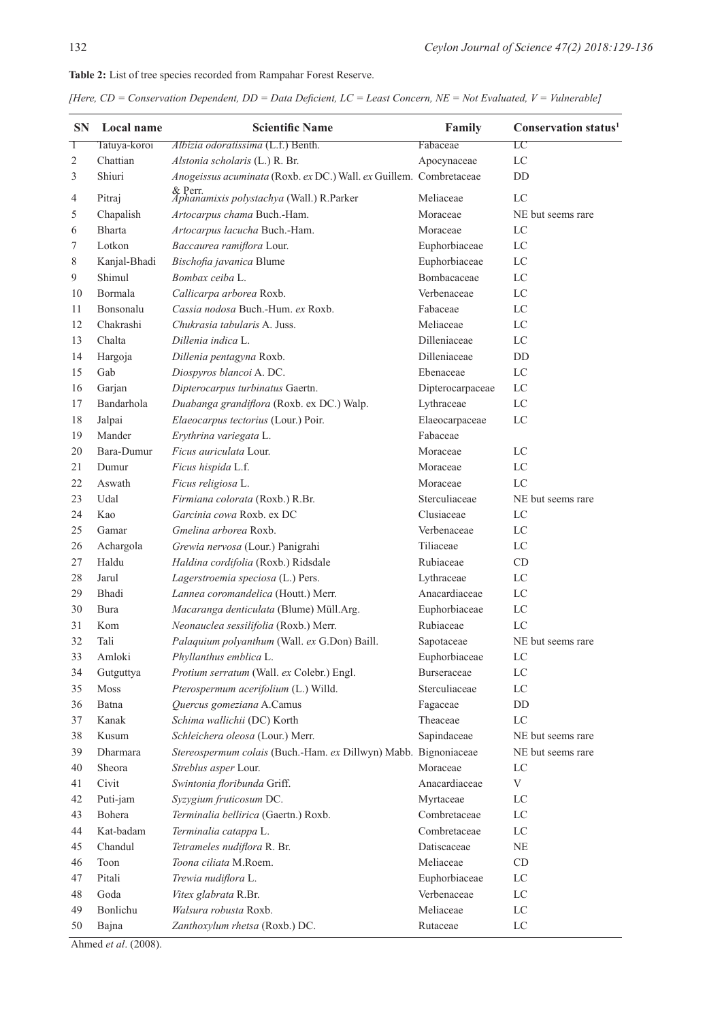# **SN Local name Scientific Name Family Conservation status<sup>1</sup>**  Tatuya-koroi *Albizia odoratissima* (L.f.) Benth. Fabaceae LC 2 Chattian *Alstonia scholaris* (L.) R. Br. Apocynaceae LC Shiuri *Anogeissus acuminata* (Roxb. *ex* DC.) Wall. *ex* Guillem. & Perr.

**Table 2:** List of tree species recorded from Rampahar Forest Reserve.

*[Here, CD = Conservation Dependent, DD = Data Deficient, LC = Least Concern, NE = Not Evaluated, V = Vulnerable]*

| <i>Aphanamixis polystachya</i> (Wall.) R.Parker<br>LC<br>Pitraj<br>Meliaceae<br>4<br>5<br>Chapalish<br>Artocarpus chama Buch.-Ham.<br>Moraceae<br>NE but seems rare<br><b>Bharta</b><br>Artocarpus lacucha Buch.-Ham.<br>LC<br>6<br>Moraceae<br>Euphorbiaceae<br>7<br>Lotkon<br>Baccaurea ramiflora Lour.<br>LC<br>Bischofia javanica Blume<br>Euphorbiaceae<br>8<br>Kanjal-Bhadi<br>LC<br>Shimul<br>Bombax ceiba L.<br>Bombacaceae<br>9<br>LC<br>Bormala<br>Verbenaceae<br>LC<br>Callicarpa arborea Roxb.<br>10<br>Cassia nodosa Buch.-Hum. ex Roxb.<br>LC<br>Bonsonalu<br>Fabaceae<br>11<br>Chakrashi<br>Meliaceae<br>LC<br>12<br>Chukrasia tabularis A. Juss.<br>Chalta<br>Dilleniaceae<br>13<br>Dillenia indica L.<br>LC<br>Dilleniaceae<br>14<br>Hargoja<br><b>DD</b><br>Dillenia pentagyna Roxb.<br>15<br>Gab<br>Diospyros blancoi A. DC.<br>Ebenaceae<br>LC<br>16<br>Garjan<br>Dipterocarpus turbinatus Gaertn.<br>Dipterocarpaceae<br>LC<br>LC<br>Bandarhola<br>Duabanga grandiflora (Roxb. ex DC.) Walp.<br>Lythraceae<br>17<br>18<br>Jalpai<br>Elaeocarpus tectorius (Lour.) Poir.<br>Elaeocarpaceae<br>LC<br>Mander<br>Fabaceae<br>19<br>Erythrina variegata L.<br>Bara-Dumur<br>Ficus auriculata Lour.<br>Moraceae<br>LC<br>20<br>$_{\rm LC}$<br>Dumur<br>Ficus hispida L.f.<br>Moraceae<br>21<br>22<br>Ficus religiosa L.<br>LC<br>Aswath<br>Moraceae<br>Sterculiaceae<br>23<br>Udal<br>Firmiana colorata (Roxb.) R.Br.<br>NE but seems rare<br>Garcinia cowa Roxb. ex DC<br>Clusiaceae<br>24<br>Kao<br>LC<br>25<br>Gamar<br>Gmelina arborea Roxb.<br>Verbenaceae<br>LC<br>26<br>Achargola<br>Grewia nervosa (Lour.) Panigrahi<br>Tiliaceae<br>LC<br>Haldu<br>Haldina cordifolia (Roxb.) Ridsdale<br>Rubiaceae<br>27<br>CD<br>LC<br>28<br>Jarul<br>Lagerstroemia speciosa (L.) Pers.<br>Lythraceae<br>Anacardiaceae<br>LC<br>29<br>Bhadi<br>Lannea coromandelica (Houtt.) Merr.<br>30<br>Macaranga denticulata (Blume) Müll.Arg.<br>Euphorbiaceae<br>LC<br>Bura<br>Rubiaceae<br>Kom<br>Neonauclea sessilifolia (Roxb.) Merr.<br>LC<br>31<br>32<br>Tali<br>Palaquium polyanthum (Wall. ex G.Don) Baill.<br>NE but seems rare<br>Sapotaceae<br>Amloki<br>Phyllanthus emblica L.<br>33<br>Euphorbiaceae<br>LC<br>Burseraceae<br>LC<br>34<br>Gutguttya<br>Protium serratum (Wall. ex Colebr.) Engl.<br>Sterculiaceae<br>35<br><b>Moss</b><br>Pterospermum acerifolium (L.) Willd.<br>LC<br>36<br>Quercus gomeziana A.Camus<br>Fagaceae<br>DD<br>Batna<br>37<br>Kanak<br>Schima wallichii (DC) Korth<br>Theaceae<br>LC<br>38<br>Schleichera oleosa (Lour.) Merr.<br>Sapindaceae<br>Kusum<br>NE but seems rare<br>Stereospermum colais (Buch.-Ham. ex Dillwyn) Mabb. Bignoniaceae<br>39<br>Dharmara<br>NE but seems rare<br>Sheora<br>Streblus asper Lour.<br>Moraceae<br>LC<br>40<br>Civit<br>Swintonia floribunda Griff.<br>Anacardiaceae<br>V<br>41<br>Puti-jam<br>Syzygium fruticosum DC.<br>42<br>Myrtaceae<br>LC<br>Combretaceae<br>Bohera<br>Terminalia bellirica (Gaertn.) Roxb.<br>LC<br>43<br>Kat-badam<br>44<br>Terminalia catappa L.<br>Combretaceae<br>LC<br>Chandul<br>Tetrameles nudiflora R. Br.<br>Datiscaceae<br>45<br>NE<br>Toona ciliata M.Roem.<br>Meliaceae<br>46<br>Toon<br>CD<br>Pitali<br>Euphorbiaceae<br>Trewia nudiflora L.<br>LC<br>47<br>Goda<br>Verbenaceae<br>Vitex glabrata R.Br.<br>LC<br>48<br>Bonlichu<br>Walsura robusta Roxb.<br>Meliaceae<br>49<br>LC<br>Bajna<br>Zanthoxylum rhetsa (Roxb.) DC.<br>Rutaceae<br>LC<br>50<br>(0.000) | 3 | Shiuri | Anogeissus acuminata (Roxb. ex DC.) Wall. ex Guillem. Combretaceae | DD |
|-----------------------------------------------------------------------------------------------------------------------------------------------------------------------------------------------------------------------------------------------------------------------------------------------------------------------------------------------------------------------------------------------------------------------------------------------------------------------------------------------------------------------------------------------------------------------------------------------------------------------------------------------------------------------------------------------------------------------------------------------------------------------------------------------------------------------------------------------------------------------------------------------------------------------------------------------------------------------------------------------------------------------------------------------------------------------------------------------------------------------------------------------------------------------------------------------------------------------------------------------------------------------------------------------------------------------------------------------------------------------------------------------------------------------------------------------------------------------------------------------------------------------------------------------------------------------------------------------------------------------------------------------------------------------------------------------------------------------------------------------------------------------------------------------------------------------------------------------------------------------------------------------------------------------------------------------------------------------------------------------------------------------------------------------------------------------------------------------------------------------------------------------------------------------------------------------------------------------------------------------------------------------------------------------------------------------------------------------------------------------------------------------------------------------------------------------------------------------------------------------------------------------------------------------------------------------------------------------------------------------------------------------------------------------------------------------------------------------------------------------------------------------------------------------------------------------------------------------------------------------------------------------------------------------------------------------------------------------------------------------------------------------------------------------------------------------------------------------------------------------------------------------------------------------------------------------------------------------------------------------------------------------------------------------------------------------------------------------------------------------------------------------------------------------------------------------------------------------------------|---|--------|--------------------------------------------------------------------|----|
|                                                                                                                                                                                                                                                                                                                                                                                                                                                                                                                                                                                                                                                                                                                                                                                                                                                                                                                                                                                                                                                                                                                                                                                                                                                                                                                                                                                                                                                                                                                                                                                                                                                                                                                                                                                                                                                                                                                                                                                                                                                                                                                                                                                                                                                                                                                                                                                                                                                                                                                                                                                                                                                                                                                                                                                                                                                                                                                                                                                                                                                                                                                                                                                                                                                                                                                                                                                                                                                                                   |   |        | & Perr.                                                            |    |
|                                                                                                                                                                                                                                                                                                                                                                                                                                                                                                                                                                                                                                                                                                                                                                                                                                                                                                                                                                                                                                                                                                                                                                                                                                                                                                                                                                                                                                                                                                                                                                                                                                                                                                                                                                                                                                                                                                                                                                                                                                                                                                                                                                                                                                                                                                                                                                                                                                                                                                                                                                                                                                                                                                                                                                                                                                                                                                                                                                                                                                                                                                                                                                                                                                                                                                                                                                                                                                                                                   |   |        |                                                                    |    |
|                                                                                                                                                                                                                                                                                                                                                                                                                                                                                                                                                                                                                                                                                                                                                                                                                                                                                                                                                                                                                                                                                                                                                                                                                                                                                                                                                                                                                                                                                                                                                                                                                                                                                                                                                                                                                                                                                                                                                                                                                                                                                                                                                                                                                                                                                                                                                                                                                                                                                                                                                                                                                                                                                                                                                                                                                                                                                                                                                                                                                                                                                                                                                                                                                                                                                                                                                                                                                                                                                   |   |        |                                                                    |    |
|                                                                                                                                                                                                                                                                                                                                                                                                                                                                                                                                                                                                                                                                                                                                                                                                                                                                                                                                                                                                                                                                                                                                                                                                                                                                                                                                                                                                                                                                                                                                                                                                                                                                                                                                                                                                                                                                                                                                                                                                                                                                                                                                                                                                                                                                                                                                                                                                                                                                                                                                                                                                                                                                                                                                                                                                                                                                                                                                                                                                                                                                                                                                                                                                                                                                                                                                                                                                                                                                                   |   |        |                                                                    |    |
|                                                                                                                                                                                                                                                                                                                                                                                                                                                                                                                                                                                                                                                                                                                                                                                                                                                                                                                                                                                                                                                                                                                                                                                                                                                                                                                                                                                                                                                                                                                                                                                                                                                                                                                                                                                                                                                                                                                                                                                                                                                                                                                                                                                                                                                                                                                                                                                                                                                                                                                                                                                                                                                                                                                                                                                                                                                                                                                                                                                                                                                                                                                                                                                                                                                                                                                                                                                                                                                                                   |   |        |                                                                    |    |
|                                                                                                                                                                                                                                                                                                                                                                                                                                                                                                                                                                                                                                                                                                                                                                                                                                                                                                                                                                                                                                                                                                                                                                                                                                                                                                                                                                                                                                                                                                                                                                                                                                                                                                                                                                                                                                                                                                                                                                                                                                                                                                                                                                                                                                                                                                                                                                                                                                                                                                                                                                                                                                                                                                                                                                                                                                                                                                                                                                                                                                                                                                                                                                                                                                                                                                                                                                                                                                                                                   |   |        |                                                                    |    |
|                                                                                                                                                                                                                                                                                                                                                                                                                                                                                                                                                                                                                                                                                                                                                                                                                                                                                                                                                                                                                                                                                                                                                                                                                                                                                                                                                                                                                                                                                                                                                                                                                                                                                                                                                                                                                                                                                                                                                                                                                                                                                                                                                                                                                                                                                                                                                                                                                                                                                                                                                                                                                                                                                                                                                                                                                                                                                                                                                                                                                                                                                                                                                                                                                                                                                                                                                                                                                                                                                   |   |        |                                                                    |    |
|                                                                                                                                                                                                                                                                                                                                                                                                                                                                                                                                                                                                                                                                                                                                                                                                                                                                                                                                                                                                                                                                                                                                                                                                                                                                                                                                                                                                                                                                                                                                                                                                                                                                                                                                                                                                                                                                                                                                                                                                                                                                                                                                                                                                                                                                                                                                                                                                                                                                                                                                                                                                                                                                                                                                                                                                                                                                                                                                                                                                                                                                                                                                                                                                                                                                                                                                                                                                                                                                                   |   |        |                                                                    |    |
|                                                                                                                                                                                                                                                                                                                                                                                                                                                                                                                                                                                                                                                                                                                                                                                                                                                                                                                                                                                                                                                                                                                                                                                                                                                                                                                                                                                                                                                                                                                                                                                                                                                                                                                                                                                                                                                                                                                                                                                                                                                                                                                                                                                                                                                                                                                                                                                                                                                                                                                                                                                                                                                                                                                                                                                                                                                                                                                                                                                                                                                                                                                                                                                                                                                                                                                                                                                                                                                                                   |   |        |                                                                    |    |
|                                                                                                                                                                                                                                                                                                                                                                                                                                                                                                                                                                                                                                                                                                                                                                                                                                                                                                                                                                                                                                                                                                                                                                                                                                                                                                                                                                                                                                                                                                                                                                                                                                                                                                                                                                                                                                                                                                                                                                                                                                                                                                                                                                                                                                                                                                                                                                                                                                                                                                                                                                                                                                                                                                                                                                                                                                                                                                                                                                                                                                                                                                                                                                                                                                                                                                                                                                                                                                                                                   |   |        |                                                                    |    |
|                                                                                                                                                                                                                                                                                                                                                                                                                                                                                                                                                                                                                                                                                                                                                                                                                                                                                                                                                                                                                                                                                                                                                                                                                                                                                                                                                                                                                                                                                                                                                                                                                                                                                                                                                                                                                                                                                                                                                                                                                                                                                                                                                                                                                                                                                                                                                                                                                                                                                                                                                                                                                                                                                                                                                                                                                                                                                                                                                                                                                                                                                                                                                                                                                                                                                                                                                                                                                                                                                   |   |        |                                                                    |    |
|                                                                                                                                                                                                                                                                                                                                                                                                                                                                                                                                                                                                                                                                                                                                                                                                                                                                                                                                                                                                                                                                                                                                                                                                                                                                                                                                                                                                                                                                                                                                                                                                                                                                                                                                                                                                                                                                                                                                                                                                                                                                                                                                                                                                                                                                                                                                                                                                                                                                                                                                                                                                                                                                                                                                                                                                                                                                                                                                                                                                                                                                                                                                                                                                                                                                                                                                                                                                                                                                                   |   |        |                                                                    |    |
|                                                                                                                                                                                                                                                                                                                                                                                                                                                                                                                                                                                                                                                                                                                                                                                                                                                                                                                                                                                                                                                                                                                                                                                                                                                                                                                                                                                                                                                                                                                                                                                                                                                                                                                                                                                                                                                                                                                                                                                                                                                                                                                                                                                                                                                                                                                                                                                                                                                                                                                                                                                                                                                                                                                                                                                                                                                                                                                                                                                                                                                                                                                                                                                                                                                                                                                                                                                                                                                                                   |   |        |                                                                    |    |
|                                                                                                                                                                                                                                                                                                                                                                                                                                                                                                                                                                                                                                                                                                                                                                                                                                                                                                                                                                                                                                                                                                                                                                                                                                                                                                                                                                                                                                                                                                                                                                                                                                                                                                                                                                                                                                                                                                                                                                                                                                                                                                                                                                                                                                                                                                                                                                                                                                                                                                                                                                                                                                                                                                                                                                                                                                                                                                                                                                                                                                                                                                                                                                                                                                                                                                                                                                                                                                                                                   |   |        |                                                                    |    |
|                                                                                                                                                                                                                                                                                                                                                                                                                                                                                                                                                                                                                                                                                                                                                                                                                                                                                                                                                                                                                                                                                                                                                                                                                                                                                                                                                                                                                                                                                                                                                                                                                                                                                                                                                                                                                                                                                                                                                                                                                                                                                                                                                                                                                                                                                                                                                                                                                                                                                                                                                                                                                                                                                                                                                                                                                                                                                                                                                                                                                                                                                                                                                                                                                                                                                                                                                                                                                                                                                   |   |        |                                                                    |    |
|                                                                                                                                                                                                                                                                                                                                                                                                                                                                                                                                                                                                                                                                                                                                                                                                                                                                                                                                                                                                                                                                                                                                                                                                                                                                                                                                                                                                                                                                                                                                                                                                                                                                                                                                                                                                                                                                                                                                                                                                                                                                                                                                                                                                                                                                                                                                                                                                                                                                                                                                                                                                                                                                                                                                                                                                                                                                                                                                                                                                                                                                                                                                                                                                                                                                                                                                                                                                                                                                                   |   |        |                                                                    |    |
|                                                                                                                                                                                                                                                                                                                                                                                                                                                                                                                                                                                                                                                                                                                                                                                                                                                                                                                                                                                                                                                                                                                                                                                                                                                                                                                                                                                                                                                                                                                                                                                                                                                                                                                                                                                                                                                                                                                                                                                                                                                                                                                                                                                                                                                                                                                                                                                                                                                                                                                                                                                                                                                                                                                                                                                                                                                                                                                                                                                                                                                                                                                                                                                                                                                                                                                                                                                                                                                                                   |   |        |                                                                    |    |
|                                                                                                                                                                                                                                                                                                                                                                                                                                                                                                                                                                                                                                                                                                                                                                                                                                                                                                                                                                                                                                                                                                                                                                                                                                                                                                                                                                                                                                                                                                                                                                                                                                                                                                                                                                                                                                                                                                                                                                                                                                                                                                                                                                                                                                                                                                                                                                                                                                                                                                                                                                                                                                                                                                                                                                                                                                                                                                                                                                                                                                                                                                                                                                                                                                                                                                                                                                                                                                                                                   |   |        |                                                                    |    |
|                                                                                                                                                                                                                                                                                                                                                                                                                                                                                                                                                                                                                                                                                                                                                                                                                                                                                                                                                                                                                                                                                                                                                                                                                                                                                                                                                                                                                                                                                                                                                                                                                                                                                                                                                                                                                                                                                                                                                                                                                                                                                                                                                                                                                                                                                                                                                                                                                                                                                                                                                                                                                                                                                                                                                                                                                                                                                                                                                                                                                                                                                                                                                                                                                                                                                                                                                                                                                                                                                   |   |        |                                                                    |    |
|                                                                                                                                                                                                                                                                                                                                                                                                                                                                                                                                                                                                                                                                                                                                                                                                                                                                                                                                                                                                                                                                                                                                                                                                                                                                                                                                                                                                                                                                                                                                                                                                                                                                                                                                                                                                                                                                                                                                                                                                                                                                                                                                                                                                                                                                                                                                                                                                                                                                                                                                                                                                                                                                                                                                                                                                                                                                                                                                                                                                                                                                                                                                                                                                                                                                                                                                                                                                                                                                                   |   |        |                                                                    |    |
|                                                                                                                                                                                                                                                                                                                                                                                                                                                                                                                                                                                                                                                                                                                                                                                                                                                                                                                                                                                                                                                                                                                                                                                                                                                                                                                                                                                                                                                                                                                                                                                                                                                                                                                                                                                                                                                                                                                                                                                                                                                                                                                                                                                                                                                                                                                                                                                                                                                                                                                                                                                                                                                                                                                                                                                                                                                                                                                                                                                                                                                                                                                                                                                                                                                                                                                                                                                                                                                                                   |   |        |                                                                    |    |
|                                                                                                                                                                                                                                                                                                                                                                                                                                                                                                                                                                                                                                                                                                                                                                                                                                                                                                                                                                                                                                                                                                                                                                                                                                                                                                                                                                                                                                                                                                                                                                                                                                                                                                                                                                                                                                                                                                                                                                                                                                                                                                                                                                                                                                                                                                                                                                                                                                                                                                                                                                                                                                                                                                                                                                                                                                                                                                                                                                                                                                                                                                                                                                                                                                                                                                                                                                                                                                                                                   |   |        |                                                                    |    |
|                                                                                                                                                                                                                                                                                                                                                                                                                                                                                                                                                                                                                                                                                                                                                                                                                                                                                                                                                                                                                                                                                                                                                                                                                                                                                                                                                                                                                                                                                                                                                                                                                                                                                                                                                                                                                                                                                                                                                                                                                                                                                                                                                                                                                                                                                                                                                                                                                                                                                                                                                                                                                                                                                                                                                                                                                                                                                                                                                                                                                                                                                                                                                                                                                                                                                                                                                                                                                                                                                   |   |        |                                                                    |    |
|                                                                                                                                                                                                                                                                                                                                                                                                                                                                                                                                                                                                                                                                                                                                                                                                                                                                                                                                                                                                                                                                                                                                                                                                                                                                                                                                                                                                                                                                                                                                                                                                                                                                                                                                                                                                                                                                                                                                                                                                                                                                                                                                                                                                                                                                                                                                                                                                                                                                                                                                                                                                                                                                                                                                                                                                                                                                                                                                                                                                                                                                                                                                                                                                                                                                                                                                                                                                                                                                                   |   |        |                                                                    |    |
|                                                                                                                                                                                                                                                                                                                                                                                                                                                                                                                                                                                                                                                                                                                                                                                                                                                                                                                                                                                                                                                                                                                                                                                                                                                                                                                                                                                                                                                                                                                                                                                                                                                                                                                                                                                                                                                                                                                                                                                                                                                                                                                                                                                                                                                                                                                                                                                                                                                                                                                                                                                                                                                                                                                                                                                                                                                                                                                                                                                                                                                                                                                                                                                                                                                                                                                                                                                                                                                                                   |   |        |                                                                    |    |
|                                                                                                                                                                                                                                                                                                                                                                                                                                                                                                                                                                                                                                                                                                                                                                                                                                                                                                                                                                                                                                                                                                                                                                                                                                                                                                                                                                                                                                                                                                                                                                                                                                                                                                                                                                                                                                                                                                                                                                                                                                                                                                                                                                                                                                                                                                                                                                                                                                                                                                                                                                                                                                                                                                                                                                                                                                                                                                                                                                                                                                                                                                                                                                                                                                                                                                                                                                                                                                                                                   |   |        |                                                                    |    |
|                                                                                                                                                                                                                                                                                                                                                                                                                                                                                                                                                                                                                                                                                                                                                                                                                                                                                                                                                                                                                                                                                                                                                                                                                                                                                                                                                                                                                                                                                                                                                                                                                                                                                                                                                                                                                                                                                                                                                                                                                                                                                                                                                                                                                                                                                                                                                                                                                                                                                                                                                                                                                                                                                                                                                                                                                                                                                                                                                                                                                                                                                                                                                                                                                                                                                                                                                                                                                                                                                   |   |        |                                                                    |    |
|                                                                                                                                                                                                                                                                                                                                                                                                                                                                                                                                                                                                                                                                                                                                                                                                                                                                                                                                                                                                                                                                                                                                                                                                                                                                                                                                                                                                                                                                                                                                                                                                                                                                                                                                                                                                                                                                                                                                                                                                                                                                                                                                                                                                                                                                                                                                                                                                                                                                                                                                                                                                                                                                                                                                                                                                                                                                                                                                                                                                                                                                                                                                                                                                                                                                                                                                                                                                                                                                                   |   |        |                                                                    |    |
|                                                                                                                                                                                                                                                                                                                                                                                                                                                                                                                                                                                                                                                                                                                                                                                                                                                                                                                                                                                                                                                                                                                                                                                                                                                                                                                                                                                                                                                                                                                                                                                                                                                                                                                                                                                                                                                                                                                                                                                                                                                                                                                                                                                                                                                                                                                                                                                                                                                                                                                                                                                                                                                                                                                                                                                                                                                                                                                                                                                                                                                                                                                                                                                                                                                                                                                                                                                                                                                                                   |   |        |                                                                    |    |
|                                                                                                                                                                                                                                                                                                                                                                                                                                                                                                                                                                                                                                                                                                                                                                                                                                                                                                                                                                                                                                                                                                                                                                                                                                                                                                                                                                                                                                                                                                                                                                                                                                                                                                                                                                                                                                                                                                                                                                                                                                                                                                                                                                                                                                                                                                                                                                                                                                                                                                                                                                                                                                                                                                                                                                                                                                                                                                                                                                                                                                                                                                                                                                                                                                                                                                                                                                                                                                                                                   |   |        |                                                                    |    |
|                                                                                                                                                                                                                                                                                                                                                                                                                                                                                                                                                                                                                                                                                                                                                                                                                                                                                                                                                                                                                                                                                                                                                                                                                                                                                                                                                                                                                                                                                                                                                                                                                                                                                                                                                                                                                                                                                                                                                                                                                                                                                                                                                                                                                                                                                                                                                                                                                                                                                                                                                                                                                                                                                                                                                                                                                                                                                                                                                                                                                                                                                                                                                                                                                                                                                                                                                                                                                                                                                   |   |        |                                                                    |    |
|                                                                                                                                                                                                                                                                                                                                                                                                                                                                                                                                                                                                                                                                                                                                                                                                                                                                                                                                                                                                                                                                                                                                                                                                                                                                                                                                                                                                                                                                                                                                                                                                                                                                                                                                                                                                                                                                                                                                                                                                                                                                                                                                                                                                                                                                                                                                                                                                                                                                                                                                                                                                                                                                                                                                                                                                                                                                                                                                                                                                                                                                                                                                                                                                                                                                                                                                                                                                                                                                                   |   |        |                                                                    |    |
|                                                                                                                                                                                                                                                                                                                                                                                                                                                                                                                                                                                                                                                                                                                                                                                                                                                                                                                                                                                                                                                                                                                                                                                                                                                                                                                                                                                                                                                                                                                                                                                                                                                                                                                                                                                                                                                                                                                                                                                                                                                                                                                                                                                                                                                                                                                                                                                                                                                                                                                                                                                                                                                                                                                                                                                                                                                                                                                                                                                                                                                                                                                                                                                                                                                                                                                                                                                                                                                                                   |   |        |                                                                    |    |
|                                                                                                                                                                                                                                                                                                                                                                                                                                                                                                                                                                                                                                                                                                                                                                                                                                                                                                                                                                                                                                                                                                                                                                                                                                                                                                                                                                                                                                                                                                                                                                                                                                                                                                                                                                                                                                                                                                                                                                                                                                                                                                                                                                                                                                                                                                                                                                                                                                                                                                                                                                                                                                                                                                                                                                                                                                                                                                                                                                                                                                                                                                                                                                                                                                                                                                                                                                                                                                                                                   |   |        |                                                                    |    |
|                                                                                                                                                                                                                                                                                                                                                                                                                                                                                                                                                                                                                                                                                                                                                                                                                                                                                                                                                                                                                                                                                                                                                                                                                                                                                                                                                                                                                                                                                                                                                                                                                                                                                                                                                                                                                                                                                                                                                                                                                                                                                                                                                                                                                                                                                                                                                                                                                                                                                                                                                                                                                                                                                                                                                                                                                                                                                                                                                                                                                                                                                                                                                                                                                                                                                                                                                                                                                                                                                   |   |        |                                                                    |    |
|                                                                                                                                                                                                                                                                                                                                                                                                                                                                                                                                                                                                                                                                                                                                                                                                                                                                                                                                                                                                                                                                                                                                                                                                                                                                                                                                                                                                                                                                                                                                                                                                                                                                                                                                                                                                                                                                                                                                                                                                                                                                                                                                                                                                                                                                                                                                                                                                                                                                                                                                                                                                                                                                                                                                                                                                                                                                                                                                                                                                                                                                                                                                                                                                                                                                                                                                                                                                                                                                                   |   |        |                                                                    |    |
|                                                                                                                                                                                                                                                                                                                                                                                                                                                                                                                                                                                                                                                                                                                                                                                                                                                                                                                                                                                                                                                                                                                                                                                                                                                                                                                                                                                                                                                                                                                                                                                                                                                                                                                                                                                                                                                                                                                                                                                                                                                                                                                                                                                                                                                                                                                                                                                                                                                                                                                                                                                                                                                                                                                                                                                                                                                                                                                                                                                                                                                                                                                                                                                                                                                                                                                                                                                                                                                                                   |   |        |                                                                    |    |
|                                                                                                                                                                                                                                                                                                                                                                                                                                                                                                                                                                                                                                                                                                                                                                                                                                                                                                                                                                                                                                                                                                                                                                                                                                                                                                                                                                                                                                                                                                                                                                                                                                                                                                                                                                                                                                                                                                                                                                                                                                                                                                                                                                                                                                                                                                                                                                                                                                                                                                                                                                                                                                                                                                                                                                                                                                                                                                                                                                                                                                                                                                                                                                                                                                                                                                                                                                                                                                                                                   |   |        |                                                                    |    |
|                                                                                                                                                                                                                                                                                                                                                                                                                                                                                                                                                                                                                                                                                                                                                                                                                                                                                                                                                                                                                                                                                                                                                                                                                                                                                                                                                                                                                                                                                                                                                                                                                                                                                                                                                                                                                                                                                                                                                                                                                                                                                                                                                                                                                                                                                                                                                                                                                                                                                                                                                                                                                                                                                                                                                                                                                                                                                                                                                                                                                                                                                                                                                                                                                                                                                                                                                                                                                                                                                   |   |        |                                                                    |    |
|                                                                                                                                                                                                                                                                                                                                                                                                                                                                                                                                                                                                                                                                                                                                                                                                                                                                                                                                                                                                                                                                                                                                                                                                                                                                                                                                                                                                                                                                                                                                                                                                                                                                                                                                                                                                                                                                                                                                                                                                                                                                                                                                                                                                                                                                                                                                                                                                                                                                                                                                                                                                                                                                                                                                                                                                                                                                                                                                                                                                                                                                                                                                                                                                                                                                                                                                                                                                                                                                                   |   |        |                                                                    |    |
|                                                                                                                                                                                                                                                                                                                                                                                                                                                                                                                                                                                                                                                                                                                                                                                                                                                                                                                                                                                                                                                                                                                                                                                                                                                                                                                                                                                                                                                                                                                                                                                                                                                                                                                                                                                                                                                                                                                                                                                                                                                                                                                                                                                                                                                                                                                                                                                                                                                                                                                                                                                                                                                                                                                                                                                                                                                                                                                                                                                                                                                                                                                                                                                                                                                                                                                                                                                                                                                                                   |   |        |                                                                    |    |
|                                                                                                                                                                                                                                                                                                                                                                                                                                                                                                                                                                                                                                                                                                                                                                                                                                                                                                                                                                                                                                                                                                                                                                                                                                                                                                                                                                                                                                                                                                                                                                                                                                                                                                                                                                                                                                                                                                                                                                                                                                                                                                                                                                                                                                                                                                                                                                                                                                                                                                                                                                                                                                                                                                                                                                                                                                                                                                                                                                                                                                                                                                                                                                                                                                                                                                                                                                                                                                                                                   |   |        |                                                                    |    |
|                                                                                                                                                                                                                                                                                                                                                                                                                                                                                                                                                                                                                                                                                                                                                                                                                                                                                                                                                                                                                                                                                                                                                                                                                                                                                                                                                                                                                                                                                                                                                                                                                                                                                                                                                                                                                                                                                                                                                                                                                                                                                                                                                                                                                                                                                                                                                                                                                                                                                                                                                                                                                                                                                                                                                                                                                                                                                                                                                                                                                                                                                                                                                                                                                                                                                                                                                                                                                                                                                   |   |        |                                                                    |    |
|                                                                                                                                                                                                                                                                                                                                                                                                                                                                                                                                                                                                                                                                                                                                                                                                                                                                                                                                                                                                                                                                                                                                                                                                                                                                                                                                                                                                                                                                                                                                                                                                                                                                                                                                                                                                                                                                                                                                                                                                                                                                                                                                                                                                                                                                                                                                                                                                                                                                                                                                                                                                                                                                                                                                                                                                                                                                                                                                                                                                                                                                                                                                                                                                                                                                                                                                                                                                                                                                                   |   |        |                                                                    |    |
|                                                                                                                                                                                                                                                                                                                                                                                                                                                                                                                                                                                                                                                                                                                                                                                                                                                                                                                                                                                                                                                                                                                                                                                                                                                                                                                                                                                                                                                                                                                                                                                                                                                                                                                                                                                                                                                                                                                                                                                                                                                                                                                                                                                                                                                                                                                                                                                                                                                                                                                                                                                                                                                                                                                                                                                                                                                                                                                                                                                                                                                                                                                                                                                                                                                                                                                                                                                                                                                                                   |   |        |                                                                    |    |
|                                                                                                                                                                                                                                                                                                                                                                                                                                                                                                                                                                                                                                                                                                                                                                                                                                                                                                                                                                                                                                                                                                                                                                                                                                                                                                                                                                                                                                                                                                                                                                                                                                                                                                                                                                                                                                                                                                                                                                                                                                                                                                                                                                                                                                                                                                                                                                                                                                                                                                                                                                                                                                                                                                                                                                                                                                                                                                                                                                                                                                                                                                                                                                                                                                                                                                                                                                                                                                                                                   |   |        |                                                                    |    |
|                                                                                                                                                                                                                                                                                                                                                                                                                                                                                                                                                                                                                                                                                                                                                                                                                                                                                                                                                                                                                                                                                                                                                                                                                                                                                                                                                                                                                                                                                                                                                                                                                                                                                                                                                                                                                                                                                                                                                                                                                                                                                                                                                                                                                                                                                                                                                                                                                                                                                                                                                                                                                                                                                                                                                                                                                                                                                                                                                                                                                                                                                                                                                                                                                                                                                                                                                                                                                                                                                   |   |        |                                                                    |    |

Ahmed *et al*. (2008).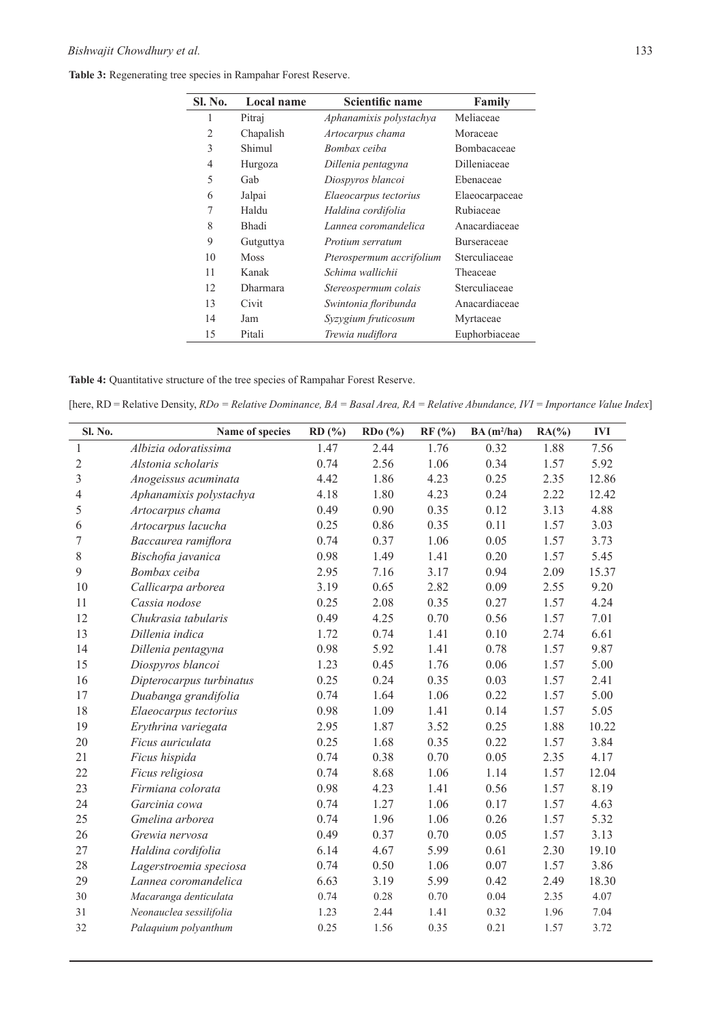| Sl. No.        | Local name      | Scientific name          | Family             |
|----------------|-----------------|--------------------------|--------------------|
| 1              | Pitraj          | Aphanamixis polystachya  | Meliaceae          |
| $\overline{2}$ | Chapalish       | Artocarpus chama         | Moraceae           |
| 3              | Shimul          | Bombax ceiba             | Bombacaceae        |
| 4              | Hurgoza         | Dillenia pentagyna       | Dilleniaceae       |
| 5              | Gab             | Diospyros blancoi        | Ebenaceae          |
| 6              | Jalpai          | Elaeocarpus tectorius    | Elaeocarpaceae     |
| 7              | Haldu           | Haldina cordifolia       | Rubiaceae          |
| 8              | <b>Bhadi</b>    | Lannea coromandelica     | Anacardiaceae      |
| 9              | Gutguttya       | Protium serratum         | <b>Burseraceae</b> |
| 10             | <b>Moss</b>     | Pterospermum accrifolium | Sterculiaceae      |
| 11             | Kanak           | Schima wallichii         | Theaceae           |
| 12             | <b>Dharmara</b> | Stereospermum colais     | Sterculiaceae      |
| 13             | Civit           | Swintonia floribunda     | Anacardiaceae      |
| 14             | Jam             | Syzygium fruticosum      | Myrtaceae          |
| 15             | Pitali          | Trewia nudiflora         | Euphorbiaceae      |

**Table 3:** Regenerating tree species in Rampahar Forest Reserve.

**Table 4:** Quantitative structure of the tree species of Rampahar Forest Reserve.

[here, RD = Relative Density, *RDo = Relative Dominance, BA = Basal Area, RA = Relative Abundance, IVI = Importance Value Index*]

| Sl. No.        | Name of species          | RD(%) | RDo(%) | RF(%) | $BA(m^2/ha)$ | $RA(\%)$ | <b>IVI</b> |
|----------------|--------------------------|-------|--------|-------|--------------|----------|------------|
| $\mathbf{1}$   | Albizia odoratissima     | 1.47  | 2.44   | 1.76  | 0.32         | 1.88     | 7.56       |
| $\overline{2}$ | Alstonia scholaris       | 0.74  | 2.56   | 1.06  | 0.34         | 1.57     | 5.92       |
| 3              | Anogeissus acuminata     | 4.42  | 1.86   | 4.23  | 0.25         | 2.35     | 12.86      |
| $\overline{4}$ | Aphanamixis polystachya  | 4.18  | 1.80   | 4.23  | 0.24         | 2.22     | 12.42      |
| 5              | Artocarpus chama         | 0.49  | 0.90   | 0.35  | 0.12         | 3.13     | 4.88       |
| 6              | Artocarpus lacucha       | 0.25  | 0.86   | 0.35  | 0.11         | 1.57     | 3.03       |
| 7              | Baccaurea ramiflora      | 0.74  | 0.37   | 1.06  | 0.05         | 1.57     | 3.73       |
| $8\,$          | Bischofia javanica       | 0.98  | 1.49   | 1.41  | 0.20         | 1.57     | 5.45       |
| 9              | Bombax ceiba             | 2.95  | 7.16   | 3.17  | 0.94         | 2.09     | 15.37      |
| 10             | Callicarpa arborea       | 3.19  | 0.65   | 2.82  | 0.09         | 2.55     | 9.20       |
| 11             | Cassia nodose            | 0.25  | 2.08   | 0.35  | 0.27         | 1.57     | 4.24       |
| 12             | Chukrasia tabularis      | 0.49  | 4.25   | 0.70  | 0.56         | 1.57     | 7.01       |
| 13             | Dillenia indica          | 1.72  | 0.74   | 1.41  | 0.10         | 2.74     | 6.61       |
| 14             | Dillenia pentagyna       | 0.98  | 5.92   | 1.41  | 0.78         | 1.57     | 9.87       |
| 15             | Diospyros blancoi        | 1.23  | 0.45   | 1.76  | 0.06         | 1.57     | 5.00       |
| 16             | Dipterocarpus turbinatus | 0.25  | 0.24   | 0.35  | 0.03         | 1.57     | 2.41       |
| 17             | Duabanga grandifolia     | 0.74  | 1.64   | 1.06  | 0.22         | 1.57     | 5.00       |
| 18             | Elaeocarpus tectorius    | 0.98  | 1.09   | 1.41  | 0.14         | 1.57     | 5.05       |
| 19             | Erythrina variegata      | 2.95  | 1.87   | 3.52  | 0.25         | 1.88     | 10.22      |
| 20             | Ficus auriculata         | 0.25  | 1.68   | 0.35  | 0.22         | 1.57     | 3.84       |
| 21             | Ficus hispida            | 0.74  | 0.38   | 0.70  | 0.05         | 2.35     | 4.17       |
| 22             | Ficus religiosa          | 0.74  | 8.68   | 1.06  | 1.14         | 1.57     | 12.04      |
| 23             | Firmiana colorata        | 0.98  | 4.23   | 1.41  | 0.56         | 1.57     | 8.19       |
| 24             | Garcinia cowa            | 0.74  | 1.27   | 1.06  | 0.17         | 1.57     | 4.63       |
| 25             | Gmelina arborea          | 0.74  | 1.96   | 1.06  | 0.26         | 1.57     | 5.32       |
| 26             | Grewia nervosa           | 0.49  | 0.37   | 0.70  | 0.05         | 1.57     | 3.13       |
| 27             | Haldina cordifolia       | 6.14  | 4.67   | 5.99  | 0.61         | 2.30     | 19.10      |
| 28             | Lagerstroemia speciosa   | 0.74  | 0.50   | 1.06  | 0.07         | 1.57     | 3.86       |
| 29             | Lannea coromandelica     | 6.63  | 3.19   | 5.99  | 0.42         | 2.49     | 18.30      |
| 30             | Macaranga denticulata    | 0.74  | 0.28   | 0.70  | 0.04         | 2.35     | 4.07       |
| 31             | Neonauclea sessilifolia  | 1.23  | 2.44   | 1.41  | 0.32         | 1.96     | 7.04       |
| 32             | Palaquium polyanthum     | 0.25  | 1.56   | 0.35  | 0.21         | 1.57     | 3.72       |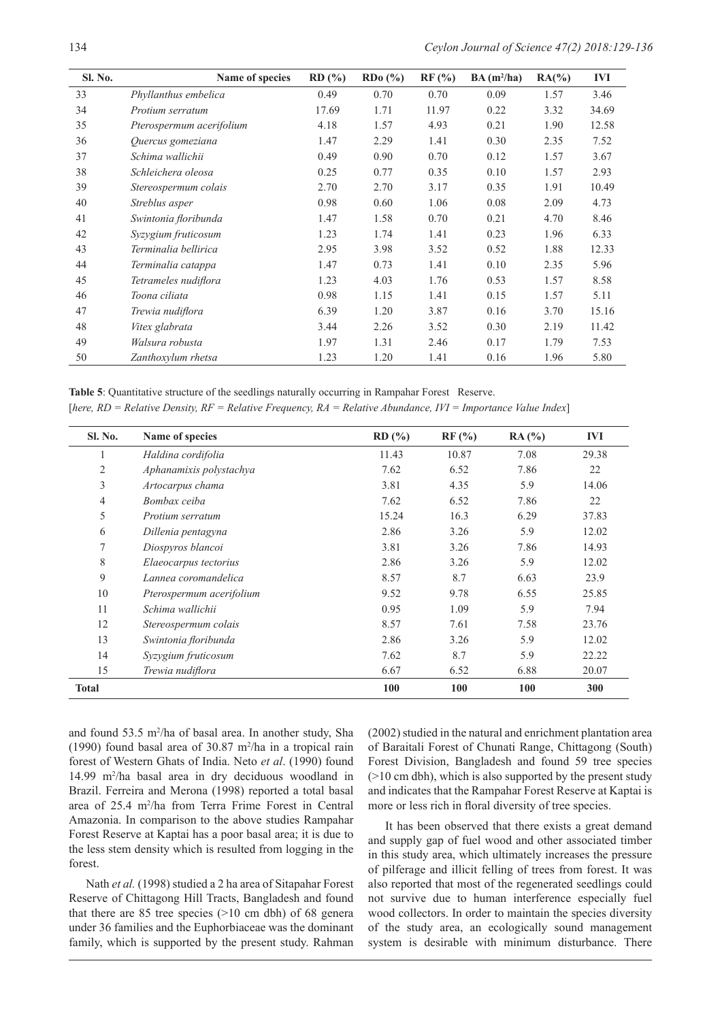| <b>Sl. No.</b> | Name of species          | RD(%) | RDo(%) | RF (%) | $BA(m^2/ha)$ | $RA(\%)$ | <b>IVI</b> |
|----------------|--------------------------|-------|--------|--------|--------------|----------|------------|
| 33             | Phyllanthus embelica     | 0.49  | 0.70   | 0.70   | 0.09         | 1.57     | 3.46       |
| 34             | Protium serratum         | 17.69 | 1.71   | 11.97  | 0.22         | 3.32     | 34.69      |
| 35             | Pterospermum acerifolium | 4.18  | 1.57   | 4.93   | 0.21         | 1.90     | 12.58      |
| 36             | Quercus gomeziana        | 1.47  | 2.29   | 1.41   | 0.30         | 2.35     | 7.52       |
| 37             | Schima wallichii         | 0.49  | 0.90   | 0.70   | 0.12         | 1.57     | 3.67       |
| 38             | Schleichera oleosa       | 0.25  | 0.77   | 0.35   | 0.10         | 1.57     | 2.93       |
| 39             | Stereospermum colais     | 2.70  | 2.70   | 3.17   | 0.35         | 1.91     | 10.49      |
| 40             | Streblus asper           | 0.98  | 0.60   | 1.06   | 0.08         | 2.09     | 4.73       |
| 41             | Swintonia floribunda     | 1.47  | 1.58   | 0.70   | 0.21         | 4.70     | 8.46       |
| 42             | Syzygium fruticosum      | 1.23  | 1.74   | 1.41   | 0.23         | 1.96     | 6.33       |
| 43             | Terminalia bellirica     | 2.95  | 3.98   | 3.52   | 0.52         | 1.88     | 12.33      |
| 44             | Terminalia catappa       | 1.47  | 0.73   | 1.41   | 0.10         | 2.35     | 5.96       |
| 45             | Tetrameles nudiflora     | 1.23  | 4.03   | 1.76   | 0.53         | 1.57     | 8.58       |
| 46             | Toona ciliata            | 0.98  | 1.15   | 1.41   | 0.15         | 1.57     | 5.11       |
| 47             | Trewia nudiflora         | 6.39  | 1.20   | 3.87   | 0.16         | 3.70     | 15.16      |
| 48             | Vitex glabrata           | 3.44  | 2.26   | 3.52   | 0.30         | 2.19     | 11.42      |
| 49             | Walsura robusta          | 1.97  | 1.31   | 2.46   | 0.17         | 1.79     | 7.53       |
| 50             | Zanthoxylum rhetsa       | 1.23  | 1.20   | 1.41   | 0.16         | 1.96     | 5.80       |

**Table 5**: Quantitative structure of the seedlings naturally occurring in Rampahar Forest Reserve. [*here, RD = Relative Density, RF = Relative Frequency, RA = Relative Abundance, IVI = Importance Value Index*]

| Sl. No.        | Name of species          | RD(%) | $RF$ (%) | RA(%) | IVI   |
|----------------|--------------------------|-------|----------|-------|-------|
| $\perp$        | Haldina cordifolia       | 11.43 | 10.87    | 7.08  | 29.38 |
| $\overline{2}$ | Aphanamixis polystachya  | 7.62  | 6.52     | 7.86  | 22    |
| 3              | Artocarpus chama         | 3.81  | 4.35     | 5.9   | 14.06 |
| $\overline{4}$ | Bombax ceiba             | 7.62  | 6.52     | 7.86  | 22    |
| 5              | Protium serratum         | 15.24 | 16.3     | 6.29  | 37.83 |
| 6              | Dillenia pentagyna       | 2.86  | 3.26     | 5.9   | 12.02 |
| 7              | Diospyros blancoi        | 3.81  | 3.26     | 7.86  | 14.93 |
| $\,$ 8 $\,$    | Elaeocarpus tectorius    | 2.86  | 3.26     | 5.9   | 12.02 |
| 9              | Lannea coromandelica     | 8.57  | 8.7      | 6.63  | 23.9  |
| 10             | Pterospermum acerifolium | 9.52  | 9.78     | 6.55  | 25.85 |
| 11             | Schima wallichii         | 0.95  | 1.09     | 5.9   | 7.94  |
| 12             | Stereospermum colais     | 8.57  | 7.61     | 7.58  | 23.76 |
| 13             | Swintonia floribunda     | 2.86  | 3.26     | 5.9   | 12.02 |
| 14             | Syzygium fruticosum      | 7.62  | 8.7      | 5.9   | 22.22 |
| 15             | Trewia nudiflora         | 6.67  | 6.52     | 6.88  | 20.07 |
| <b>Total</b>   |                          | 100   | 100      | 100   | 300   |

and found 53.5 m2 /ha of basal area. In another study, Sha (1990) found basal area of 30.87 m2 /ha in a tropical rain forest of Western Ghats of India. Neto *et al*. (1990) found 14.99 m2 /ha basal area in dry deciduous woodland in Brazil. Ferreira and Merona (1998) reported a total basal area of 25.4 m2 /ha from Terra Frime Forest in Central Amazonia. In comparison to the above studies Rampahar Forest Reserve at Kaptai has a poor basal area; it is due to the less stem density which is resulted from logging in the forest.

Nath *et al.* (1998) studied a 2 ha area of Sitapahar Forest Reserve of Chittagong Hill Tracts, Bangladesh and found that there are 85 tree species  $(>10$  cm dbh) of 68 general under 36 families and the Euphorbiaceae was the dominant family, which is supported by the present study. Rahman

(2002) studied in the natural and enrichment plantation area of Baraitali Forest of Chunati Range, Chittagong (South) Forest Division, Bangladesh and found 59 tree species (>10 cm dbh), which is also supported by the present study and indicates that the Rampahar Forest Reserve at Kaptai is more or less rich in floral diversity of tree species.

It has been observed that there exists a great demand and supply gap of fuel wood and other associated timber in this study area, which ultimately increases the pressure of pilferage and illicit felling of trees from forest. It was also reported that most of the regenerated seedlings could not survive due to human interference especially fuel wood collectors. In order to maintain the species diversity of the study area, an ecologically sound management system is desirable with minimum disturbance. There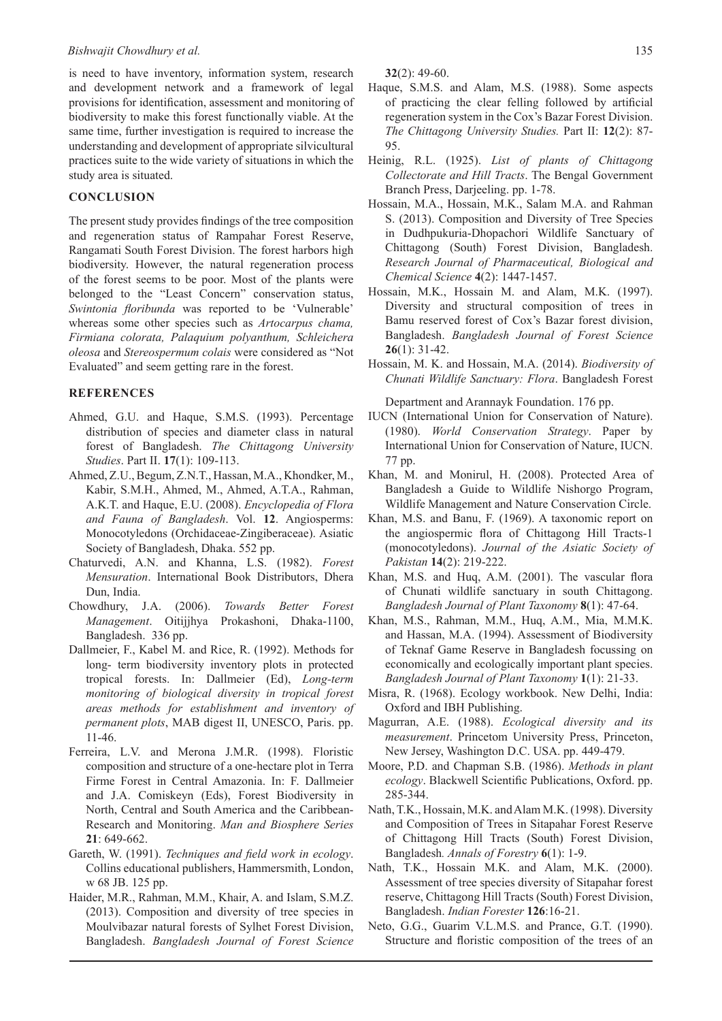is need to have inventory, information system, research and development network and a framework of legal provisions for identification, assessment and monitoring of biodiversity to make this forest functionally viable. At the same time, further investigation is required to increase the understanding and development of appropriate silvicultural practices suite to the wide variety of situations in which the study area is situated.

#### **CONCLUSION**

The present study provides findings of the tree composition and regeneration status of Rampahar Forest Reserve, Rangamati South Forest Division. The forest harbors high biodiversity. However, the natural regeneration process of the forest seems to be poor. Most of the plants were belonged to the "Least Concern" conservation status, *Swintonia floribunda* was reported to be 'Vulnerable' whereas some other species such as *Artocarpus chama, Firmiana colorata, Palaquium polyanthum, Schleichera oleosa* and *Stereospermum colais* were considered as "Not Evaluated" and seem getting rare in the forest.

#### **REFERENCES**

- Ahmed, G.U. and Haque, S.M.S. (1993). Percentage distribution of species and diameter class in natural forest of Bangladesh. *The Chittagong University Studies*. Part II. **17**(1): 109-113.
- Ahmed, Z.U., Begum, Z.N.T., Hassan, M.A., Khondker, M., Kabir, S.M.H., Ahmed, M., Ahmed, A.T.A., Rahman, A.K.T. and Haque, E.U. (2008). *Encyclopedia of Flora and Fauna of Bangladesh*. Vol. **12**. Angiosperms: Monocotyledons (Orchidaceae-Zingiberaceae). Asiatic Society of Bangladesh, Dhaka. 552 pp.
- Chaturvedi, A.N. and Khanna, L.S. (1982). *Forest Mensuration*. International Book Distributors, Dhera Dun, India.
- Chowdhury, J.A. (2006). *Towards Better Forest Management*. Oitijjhya Prokashoni, Dhaka-1100, Bangladesh. 336 pp.
- Dallmeier, F., Kabel M. and Rice, R. (1992). Methods for long- term biodiversity inventory plots in protected tropical forests. In: Dallmeier (Ed), *Long-term monitoring of biological diversity in tropical forest areas methods for establishment and inventory of permanent plots*, MAB digest II, UNESCO, Paris. pp. 11-46.
- Ferreira, L.V. and Merona J.M.R. (1998). Floristic composition and structure of a one-hectare plot in Terra Firme Forest in Central Amazonia. In: F. Dallmeier and J.A. Comiskeyn (Eds), Forest Biodiversity in North, Central and South America and the Caribbean-Research and Monitoring. *Man and Biosphere Series* **21**: 649-662.
- Gareth, W. (1991). *Techniques and field work in ecology*. Collins educational publishers, Hammersmith, London, w 68 JB. 125 pp.
- Haider, M.R., Rahman, M.M., Khair, A. and Islam, S.M.Z. (2013). Composition and diversity of tree species in Moulvibazar natural forests of Sylhet Forest Division, Bangladesh. *Bangladesh Journal of Forest Science*

**32**(2): 49-60.

- Haque, S.M.S. and Alam, M.S. (1988). Some aspects of practicing the clear felling followed by artificial regeneration system in the Cox's Bazar Forest Division. *The Chittagong University Studies.* Part II: **12**(2): 87- 95.
- Heinig, R.L. (1925). *List of plants of Chittagong Collectorate and Hill Tracts*. The Bengal Government Branch Press, Darjeeling. pp. 1-78.
- Hossain, M.A., Hossain, M.K., Salam M.A. and Rahman S. (2013). Composition and Diversity of Tree Species in Dudhpukuria-Dhopachori Wildlife Sanctuary of Chittagong (South) Forest Division, Bangladesh. *Research Journal of Pharmaceutical, Biological and Chemical Science* **4**(2): 1447-1457.
- Hossain, M.K., Hossain M. and Alam, M.K. (1997). Diversity and structural composition of trees in Bamu reserved forest of Cox's Bazar forest division, Bangladesh. *Bangladesh Journal of Forest Science* **26**(1): 31-42.
- Hossain, M. K. and Hossain, M.A. (2014). *Biodiversity of Chunati Wildlife Sanctuary: Flora*. Bangladesh Forest

Department and Arannayk Foundation. 176 pp.

- IUCN (International Union for Conservation of Nature). (1980). *World Conservation Strategy*. Paper by International Union for Conservation of Nature, IUCN. 77 pp.
- Khan, M. and Monirul, H. (2008). Protected Area of Bangladesh a Guide to Wildlife Nishorgo Program, Wildlife Management and Nature Conservation Circle.
- Khan, M.S. and Banu, F. (1969). A taxonomic report on the angiospermic flora of Chittagong Hill Tracts-1 (monocotyledons). *Journal of the Asiatic Society of Pakistan* **14**(2): 219-222.
- Khan, M.S. and Huq, A.M. (2001). The vascular flora of Chunati wildlife sanctuary in south Chittagong. *Bangladesh Journal of Plant Taxonomy* **8**(1): 47-64.
- Khan, M.S., Rahman, M.M., Huq, A.M., Mia, M.M.K. and Hassan, M.A. (1994). Assessment of Biodiversity of Teknaf Game Reserve in Bangladesh focussing on economically and ecologically important plant species. *Bangladesh Journal of Plant Taxonomy* **1**(1): 21-33.
- Misra, R. (1968). Ecology workbook. New Delhi, India: Oxford and IBH Publishing.
- Magurran, A.E. (1988). *Ecological diversity and its measurement*. Princetom University Press, Princeton, New Jersey, Washington D.C. USA. pp. 449-479.
- Moore, P.D. and Chapman S.B. (1986). *Methods in plant ecology*. Blackwell Scientific Publications, Oxford. pp. 285-344.
- Nath, T.K., Hossain, M.K. and Alam M.K. (1998). Diversity and Composition of Trees in Sitapahar Forest Reserve of Chittagong Hill Tracts (South) Forest Division, Bangladesh*. Annals of Forestry* **6**(1): 1-9.
- Nath, T.K., Hossain M.K. and Alam, M.K. (2000). Assessment of tree species diversity of Sitapahar forest reserve, Chittagong Hill Tracts (South) Forest Division, Bangladesh. *Indian Forester* **126**:16-21.
- Neto, G.G., Guarim V.L.M.S. and Prance, G.T. (1990). Structure and floristic composition of the trees of an